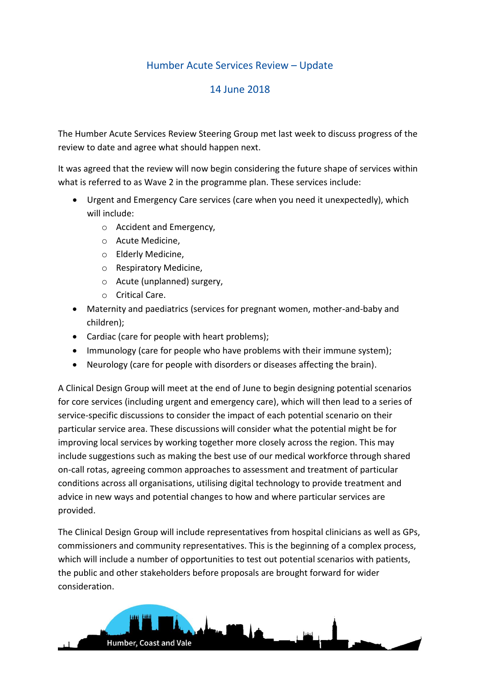## Humber Acute Services Review – Update

## 14 June 2018

The Humber Acute Services Review Steering Group met last week to discuss progress of the review to date and agree what should happen next.

It was agreed that the review will now begin considering the future shape of services within what is referred to as Wave 2 in the programme plan. These services include:

- Urgent and Emergency Care services (care when you need it unexpectedly), which will include:
	- o Accident and Emergency,
	- o Acute Medicine,
	- o Elderly Medicine,
	- o Respiratory Medicine,
	- o Acute (unplanned) surgery,
	- o Critical Care.
- Maternity and paediatrics (services for pregnant women, mother-and-baby and children);
- Cardiac (care for people with heart problems);
- Immunology (care for people who have problems with their immune system);
- Neurology (care for people with disorders or diseases affecting the brain).

A Clinical Design Group will meet at the end of June to begin designing potential scenarios for core services (including urgent and emergency care), which will then lead to a series of service-specific discussions to consider the impact of each potential scenario on their particular service area. These discussions will consider what the potential might be for improving local services by working together more closely across the region. This may include suggestions such as making the best use of our medical workforce through shared on-call rotas, agreeing common approaches to assessment and treatment of particular conditions across all organisations, utilising digital technology to provide treatment and advice in new ways and potential changes to how and where particular services are provided.

The Clinical Design Group will include representatives from hospital clinicians as well as GPs, commissioners and community representatives. This is the beginning of a complex process, which will include a number of opportunities to test out potential scenarios with patients, the public and other stakeholders before proposals are brought forward for wider consideration.